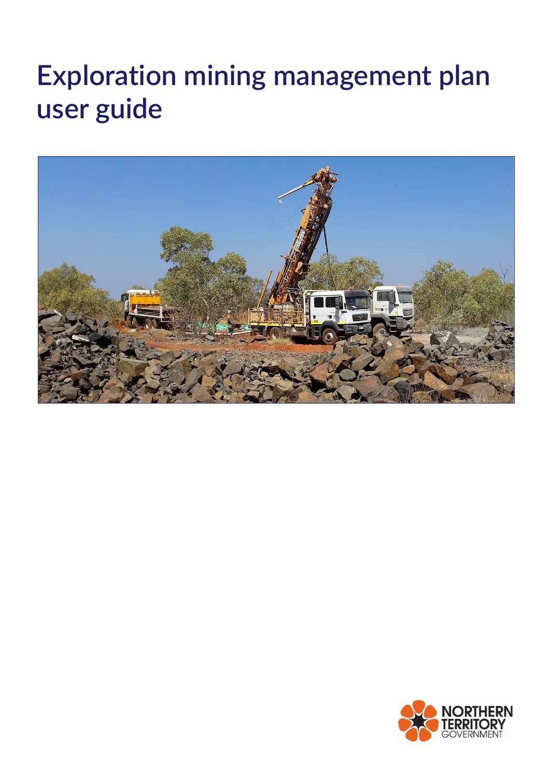# **Exploration mining management plan user guide**



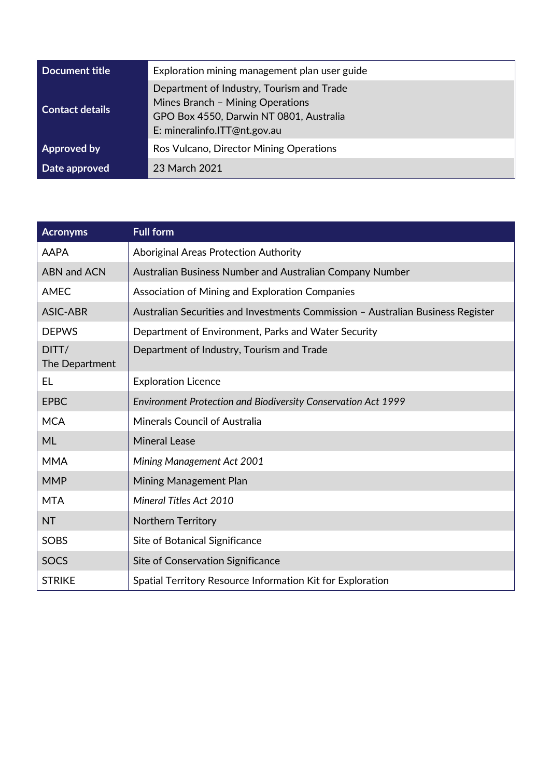| Document title     | Exploration mining management plan user guide                                                                                                            |  |
|--------------------|----------------------------------------------------------------------------------------------------------------------------------------------------------|--|
| Contact details    | Department of Industry, Tourism and Trade<br>Mines Branch - Mining Operations<br>GPO Box 4550, Darwin NT 0801, Australia<br>E: mineralinfo.ITT@nt.gov.au |  |
| <b>Approved by</b> | Ros Vulcano, Director Mining Operations                                                                                                                  |  |
| Date approved      | 23 March 2021                                                                                                                                            |  |

| <b>Acronyms</b>         | <b>Full form</b>                                                                |
|-------------------------|---------------------------------------------------------------------------------|
| <b>AAPA</b>             | Aboriginal Areas Protection Authority                                           |
| <b>ABN and ACN</b>      | Australian Business Number and Australian Company Number                        |
| <b>AMEC</b>             | Association of Mining and Exploration Companies                                 |
| <b>ASIC-ABR</b>         | Australian Securities and Investments Commission - Australian Business Register |
| <b>DEPWS</b>            | Department of Environment, Parks and Water Security                             |
| DITT/<br>The Department | Department of Industry, Tourism and Trade                                       |
| <b>EL</b>               | <b>Exploration Licence</b>                                                      |
| <b>EPBC</b>             | <b>Environment Protection and Biodiversity Conservation Act 1999</b>            |
| <b>MCA</b>              | Minerals Council of Australia                                                   |
| ML                      | <b>Mineral Lease</b>                                                            |
| <b>MMA</b>              | Mining Management Act 2001                                                      |
| <b>MMP</b>              | Mining Management Plan                                                          |
| <b>MTA</b>              | Mineral Titles Act 2010                                                         |
| <b>NT</b>               | <b>Northern Territory</b>                                                       |
| SOBS                    | Site of Botanical Significance                                                  |
| <b>SOCS</b>             | Site of Conservation Significance                                               |
| <b>STRIKE</b>           | Spatial Territory Resource Information Kit for Exploration                      |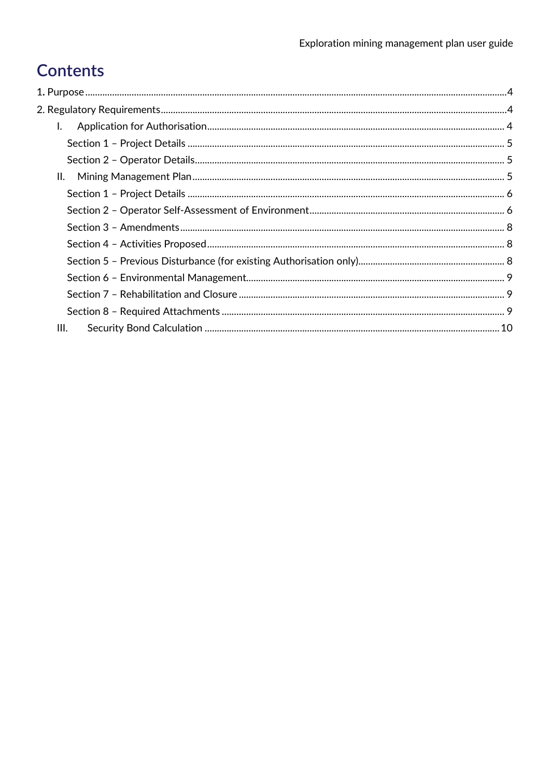# **Contents**

| $\mathbf{L}$ |  |
|--------------|--|
|              |  |
|              |  |
|              |  |
|              |  |
|              |  |
|              |  |
|              |  |
|              |  |
|              |  |
|              |  |
|              |  |
| III.         |  |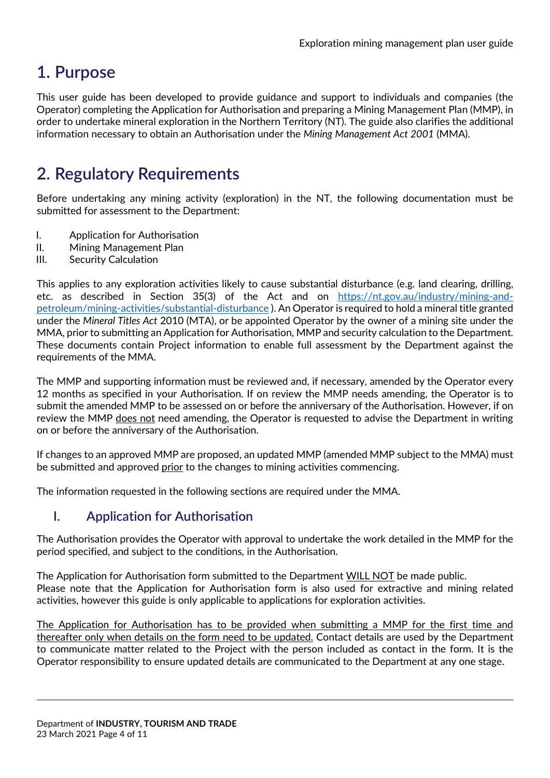## <span id="page-3-0"></span>**1. Purpose**

This user guide has been developed to provide guidance and support to individuals and companies (the Operator) completing the Application for Authorisation and preparing a Mining Management Plan (MMP), in order to undertake mineral exploration in the Northern Territory (NT). The guide also clarifies the additional information necessary to obtain an Authorisation under the *Mining Management Act 2001* (MMA).

### <span id="page-3-1"></span>**2. Regulatory Requirements**

Before undertaking any mining activity (exploration) in the NT, the following documentation must be submitted for assessment to the Department:

- I. Application for Authorisation
- II. Mining Management Plan
- III. Security Calculation

This applies to any exploration activities likely to cause substantial disturbance (e.g. land clearing, drilling, etc. as described in Section 35(3) of the Act and on [https://nt.gov.au/industry/mining-and](https://nt.gov.au/industry/mining-and-petroleum/mining-activities/substantial-disturbance)[petroleum/mining-activities/substantial-disturbance](https://nt.gov.au/industry/mining-and-petroleum/mining-activities/substantial-disturbance) ). An Operator is required to hold a mineral title granted under the *Mineral Titles Act* 2010 (MTA), or be appointed Operator by the owner of a mining site under the MMA, prior to submitting an Application for Authorisation, MMP and security calculation to the Department. These documents contain Project information to enable full assessment by the Department against the requirements of the MMA.

The MMP and supporting information must be reviewed and, if necessary, amended by the Operator every 12 months as specified in your Authorisation. If on review the MMP needs amending, the Operator is to submit the amended MMP to be assessed on or before the anniversary of the Authorisation. However, if on review the MMP does not need amending, the Operator is requested to advise the Department in writing on or before the anniversary of the Authorisation.

If changes to an approved MMP are proposed, an updated MMP (amended MMP subject to the MMA) must be submitted and approved prior to the changes to mining activities commencing.

The information requested in the following sections are required under the MMA.

#### <span id="page-3-2"></span>**I. Application for Authorisation**

The Authorisation provides the Operator with approval to undertake the work detailed in the MMP for the period specified, and subject to the conditions, in the Authorisation.

The Application for Authorisation form submitted to the Department WILL NOT be made public. Please note that the Application for Authorisation form is also used for extractive and mining related activities, however this guide is only applicable to applications for exploration activities.

The Application for Authorisation has to be provided when submitting a MMP for the first time and thereafter only when details on the form need to be updated. Contact details are used by the Department to communicate matter related to the Project with the person included as contact in the form. It is the Operator responsibility to ensure updated details are communicated to the Department at any one stage.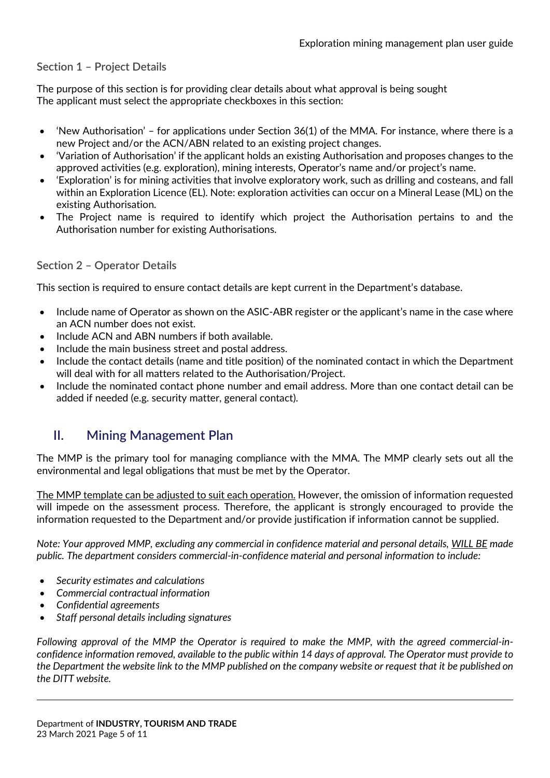#### <span id="page-4-0"></span>**Section 1 – Project Details**

The purpose of this section is for providing clear details about what approval is being sought The applicant must select the appropriate checkboxes in this section:

- 'New Authorisation' for applications under Section 36(1) of the MMA. For instance, where there is a new Project and/or the ACN/ABN related to an existing project changes.
- 'Variation of Authorisation' if the applicant holds an existing Authorisation and proposes changes to the approved activities (e.g. exploration), mining interests, Operator's name and/or project's name.
- 'Exploration' is for mining activities that involve exploratory work, such as drilling and costeans, and fall within an Exploration Licence (EL). Note: exploration activities can occur on a Mineral Lease (ML) on the existing Authorisation.
- The Project name is required to identify which project the Authorisation pertains to and the Authorisation number for existing Authorisations.

#### <span id="page-4-1"></span>**Section 2 – Operator Details**

This section is required to ensure contact details are kept current in the Department's database.

- Include name of Operator as shown on the ASIC-ABR register or the applicant's name in the case where an ACN number does not exist.
- Include ACN and ABN numbers if both available.
- Include the main business street and postal address.
- Include the contact details (name and title position) of the nominated contact in which the Department will deal with for all matters related to the Authorisation/Project.
- Include the nominated contact phone number and email address. More than one contact detail can be added if needed (e.g. security matter, general contact).

#### <span id="page-4-2"></span>**II. Mining Management Plan**

The MMP is the primary tool for managing compliance with the MMA. The MMP clearly sets out all the environmental and legal obligations that must be met by the Operator.

The MMP template can be adjusted to suit each operation. However, the omission of information requested will impede on the assessment process. Therefore, the applicant is strongly encouraged to provide the information requested to the Department and/or provide justification if information cannot be supplied.

*Note: Your approved MMP, excluding any commercial in confidence material and personal details, WILL BE made public. The department considers commercial-in-confidence material and personal information to include:*

- *Security estimates and calculations*
- *Commercial contractual information*
- *Confidential agreements*
- *Staff personal details including signatures*

*Following approval of the MMP the Operator is required to make the MMP, with the agreed commercial-inconfidence information removed, available to the public within 14 days of approval. The Operator must provide to the Department the website link to the MMP published on the company website or request that it be published on the DITT website.*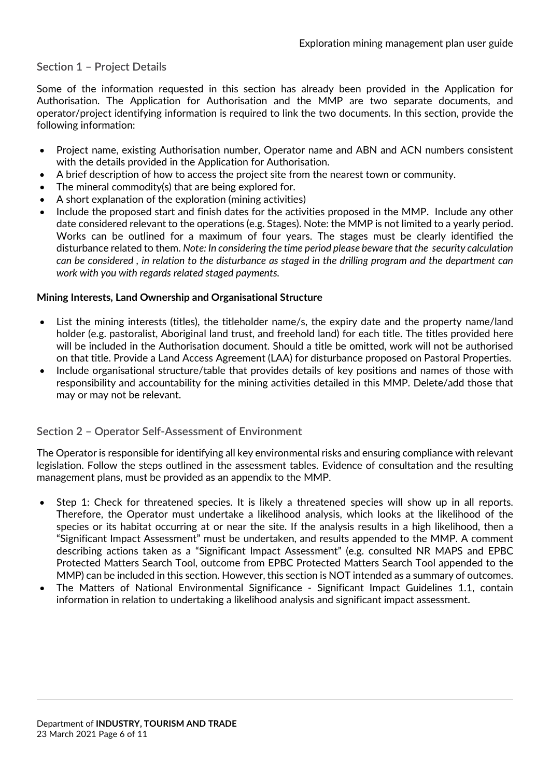#### <span id="page-5-0"></span>**Section 1 – Project Details**

Some of the information requested in this section has already been provided in the Application for Authorisation. The Application for Authorisation and the MMP are two separate documents, and operator/project identifying information is required to link the two documents. In this section, provide the following information:

- Project name, existing Authorisation number, Operator name and ABN and ACN numbers consistent with the details provided in the Application for Authorisation.
- A brief description of how to access the project site from the nearest town or community.
- The mineral commodity(s) that are being explored for.
- A short explanation of the exploration (mining activities)
- Include the proposed start and finish dates for the activities proposed in the MMP. Include any other date considered relevant to the operations (e.g. Stages). Note: the MMP is not limited to a yearly period. Works can be outlined for a maximum of four years. The stages must be clearly identified the disturbance related to them. *Note: In considering the time period please beware that the security calculation can be considered , in relation to the disturbance as staged in the drilling program and the department can work with you with regards related staged payments.*

#### **Mining Interests, Land Ownership and Organisational Structure**

- List the mining interests (titles), the titleholder name/s, the expiry date and the property name/land holder (e.g. pastoralist, Aboriginal land trust, and freehold land) for each title. The titles provided here will be included in the Authorisation document. Should a title be omitted, work will not be authorised on that title. Provide a Land Access Agreement (LAA) for disturbance proposed on Pastoral Properties.
- Include organisational structure/table that provides details of key positions and names of those with responsibility and accountability for the mining activities detailed in this MMP. Delete/add those that may or may not be relevant.

#### <span id="page-5-1"></span>**Section 2 – Operator Self-Assessment of Environment**

The Operator is responsible for identifying all key environmental risks and ensuring compliance with relevant legislation. Follow the steps outlined in the assessment tables. Evidence of consultation and the resulting management plans, must be provided as an appendix to the MMP.

- Step 1: Check for threatened species. It is likely a threatened species will show up in all reports. Therefore, the Operator must undertake a likelihood analysis, which looks at the likelihood of the species or its habitat occurring at or near the site. If the analysis results in a high likelihood, then a "Significant Impact Assessment" must be undertaken, and results appended to the MMP. A comment describing actions taken as a "Significant Impact Assessment" (e.g. consulted NR MAPS and EPBC Protected Matters Search Tool, outcome from EPBC Protected Matters Search Tool appended to the MMP) can be included in this section. However, this section is NOT intended as a summary of outcomes.
- The Matters of National Environmental Significance Significant Impact Guidelines 1.1, contain information in relation to undertaking a likelihood analysis and significant impact assessment.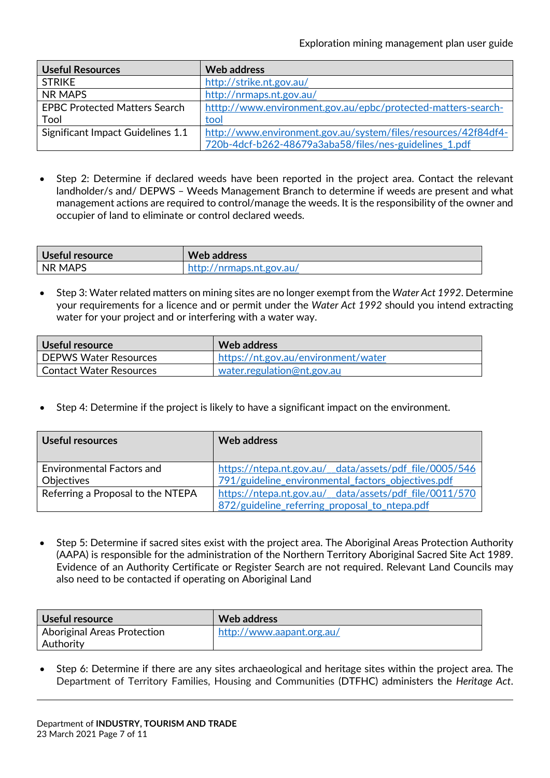| <b>Useful Resources</b>              | Web address                                                    |
|--------------------------------------|----------------------------------------------------------------|
| <b>STRIKE</b>                        | http://strike.nt.gov.au/                                       |
| NR MAPS                              | http://nrmaps.nt.gov.au/                                       |
| <b>EPBC Protected Matters Search</b> | htttp://www.environment.gov.au/epbc/protected-matters-search-  |
| Tool                                 | tool                                                           |
| Significant Impact Guidelines 1.1    | http://www.environment.gov.au/system/files/resources/42f84df4- |
|                                      | 720b-4dcf-b262-48679a3aba58/files/nes-guidelines 1.pdf         |

• Step 2: Determine if declared weeds have been reported in the project area. Contact the relevant landholder/s and/ DEPWS – Weeds Management Branch to determine if weeds are present and what management actions are required to control/manage the weeds. It is the responsibility of the owner and occupier of land to eliminate or control declared weeds.

| Useful resource | <b>Web address</b>       |
|-----------------|--------------------------|
| INR MAPS        | http://nrmaps.nt.gov.au/ |

• Step 3: Water related matters on mining sites are no longer exempt from the *Water Act 1992*. Determine your requirements for a licence and or permit under the *Water Act 1992* should you intend extracting water for your project and or interfering with a water way.

| Useful resource                | Web address                         |
|--------------------------------|-------------------------------------|
| DEPWS Water Resources          | https://nt.gov.au/environment/water |
| <b>Contact Water Resources</b> | water.regulation@nt.gov.au          |

• Step 4: Determine if the project is likely to have a significant impact on the environment.

| Useful resources                               | Web address                                                                                                  |
|------------------------------------------------|--------------------------------------------------------------------------------------------------------------|
| <b>Environmental Factors and</b><br>Objectives | https://ntepa.nt.gov.au/_data/assets/pdf_file/0005/546<br>791/guideline environmental factors objectives.pdf |
| Referring a Proposal to the NTEPA              | https://ntepa.nt.gov.au/_data/assets/pdf_file/0011/570<br>872/guideline referring proposal to ntepa.pdf      |

• Step 5: Determine if sacred sites exist with the project area. The Aboriginal Areas Protection Authority (AAPA) is responsible for the administration of the Northern Territory Aboriginal Sacred Site Act 1989. Evidence of an Authority Certificate or Register Search are not required. Relevant Land Councils may also need to be contacted if operating on Aboriginal Land

| Useful resource             | Web address               |
|-----------------------------|---------------------------|
| Aboriginal Areas Protection | http://www.aapant.org.au/ |
| <b>Authority</b>            |                           |

• Step 6: Determine if there are any sites archaeological and heritage sites within the project area. The Department of Territory Families, Housing and Communities (DTFHC) administers the *Heritage Act*.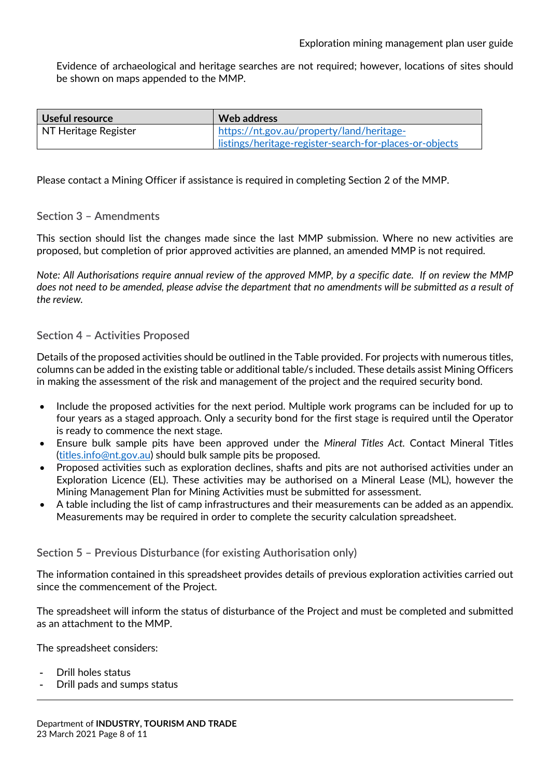Evidence of archaeological and heritage searches are not required; however, locations of sites should be shown on maps appended to the MMP.

| Useful resource      | Web address                                             |
|----------------------|---------------------------------------------------------|
| NT Heritage Register | https://nt.gov.au/property/land/heritage-               |
|                      | listings/heritage-register-search-for-places-or-objects |

Please contact a Mining Officer if assistance is required in completing Section 2 of the MMP.

#### <span id="page-7-0"></span>**Section 3 – Amendments**

This section should list the changes made since the last MMP submission. Where no new activities are proposed, but completion of prior approved activities are planned, an amended MMP is not required.

*Note: All Authorisations require annual review of the approved MMP, by a specific date. If on review the MMP does not need to be amended, please advise the department that no amendments will be submitted as a result of the review.* 

#### <span id="page-7-1"></span>**Section 4 – Activities Proposed**

Details of the proposed activities should be outlined in the Table provided. For projects with numerous titles, columns can be added in the existing table or additional table/s included. These details assist Mining Officers in making the assessment of the risk and management of the project and the required security bond.

- Include the proposed activities for the next period. Multiple work programs can be included for up to four years as a staged approach. Only a security bond for the first stage is required until the Operator is ready to commence the next stage.
- Ensure bulk sample pits have been approved under the *Mineral Titles Act.* Contact Mineral Titles [\(titles.info@nt.gov.au\)](mailto:titles.info@nt.gov.au) should bulk sample pits be proposed.
- Proposed activities such as exploration declines, shafts and pits are not authorised activities under an Exploration Licence (EL). These activities may be authorised on a Mineral Lease (ML), however the Mining Management Plan for Mining Activities must be submitted for assessment.
- A table including the list of camp infrastructures and their measurements can be added as an appendix. Measurements may be required in order to complete the security calculation spreadsheet.

#### <span id="page-7-2"></span>**Section 5 – Previous Disturbance (for existing Authorisation only)**

The information contained in this spreadsheet provides details of previous exploration activities carried out since the commencement of the Project.

The spreadsheet will inform the status of disturbance of the Project and must be completed and submitted as an attachment to the MMP.

The spreadsheet considers:

- Drill holes status
- Drill pads and sumps status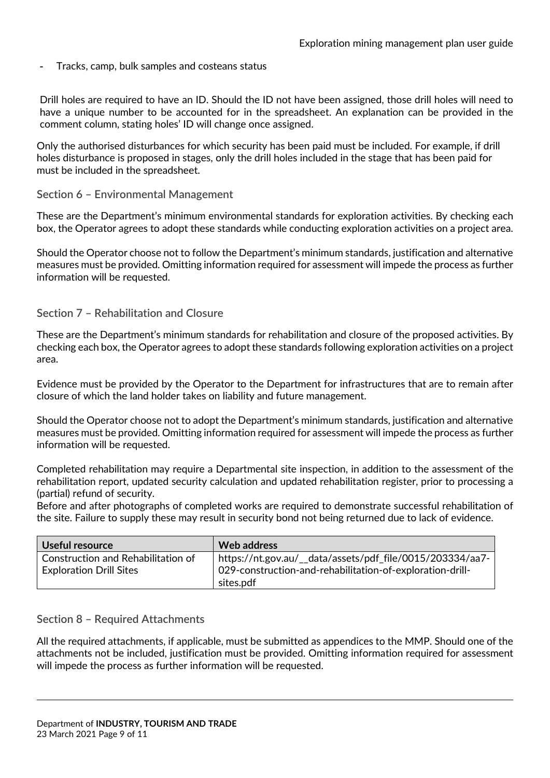Tracks, camp, bulk samples and costeans status

Drill holes are required to have an ID. Should the ID not have been assigned, those drill holes will need to have a unique number to be accounted for in the spreadsheet. An explanation can be provided in the comment column, stating holes' ID will change once assigned.

Only the authorised disturbances for which security has been paid must be included. For example, if drill holes disturbance is proposed in stages, only the drill holes included in the stage that has been paid for must be included in the spreadsheet.

#### <span id="page-8-0"></span>**Section 6 – Environmental Management**

These are the Department's minimum environmental standards for exploration activities. By checking each box, the Operator agrees to adopt these standards while conducting exploration activities on a project area.

Should the Operator choose not to follow the Department's minimum standards, justification and alternative measures must be provided. Omitting information required for assessment will impede the process as further information will be requested.

#### <span id="page-8-1"></span>**Section 7 – Rehabilitation and Closure**

These are the Department's minimum standards for rehabilitation and closure of the proposed activities. By checking each box, the Operator agrees to adopt these standards following exploration activities on a project area.

Evidence must be provided by the Operator to the Department for infrastructures that are to remain after closure of which the land holder takes on liability and future management.

Should the Operator choose not to adopt the Department's minimum standards, justification and alternative measures must be provided. Omitting information required for assessment will impede the process as further information will be requested.

Completed rehabilitation may require a Departmental site inspection, in addition to the assessment of the rehabilitation report, updated security calculation and updated rehabilitation register, prior to processing a (partial) refund of security.

Before and after photographs of completed works are required to demonstrate successful rehabilitation of the site. Failure to supply these may result in security bond not being returned due to lack of evidence.

| Useful resource                                                      | Web address                                                                                                                         |
|----------------------------------------------------------------------|-------------------------------------------------------------------------------------------------------------------------------------|
| Construction and Rehabilitation of<br><b>Exploration Drill Sites</b> | https://nt.gov.au/__data/assets/pdf_file/0015/203334/aa7-<br>029-construction-and-rehabilitation-of-exploration-drill-<br>sites.pdf |

#### <span id="page-8-2"></span>**Section 8 – Required Attachments**

All the required attachments, if applicable, must be submitted as appendices to the MMP. Should one of the attachments not be included, justification must be provided. Omitting information required for assessment will impede the process as further information will be requested.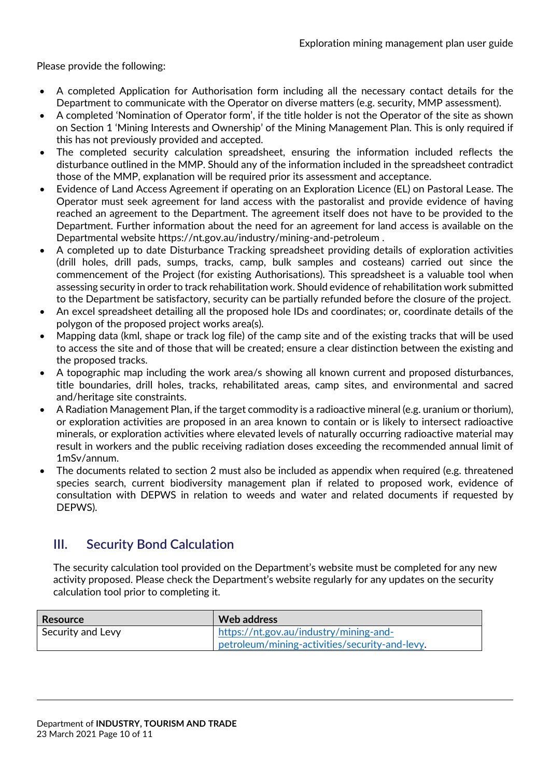Please provide the following:

- A completed Application for Authorisation form including all the necessary contact details for the Department to communicate with the Operator on diverse matters (e.g. security, MMP assessment).
- A completed 'Nomination of Operator form', if the title holder is not the Operator of the site as shown on Section 1 'Mining Interests and Ownership' of the Mining Management Plan. This is only required if this has not previously provided and accepted.
- The completed security calculation spreadsheet, ensuring the information included reflects the disturbance outlined in the MMP. Should any of the information included in the spreadsheet contradict those of the MMP, explanation will be required prior its assessment and acceptance.
- Evidence of Land Access Agreement if operating on an Exploration Licence (EL) on Pastoral Lease. The Operator must seek agreement for land access with the pastoralist and provide evidence of having reached an agreement to the Department. The agreement itself does not have to be provided to the Department. Further information about the need for an agreement for land access is available on the Departmental website<https://nt.gov.au/industry/mining-and-petroleum> .
- A completed up to date Disturbance Tracking spreadsheet providing details of exploration activities (drill holes, drill pads, sumps, tracks, camp, bulk samples and costeans) carried out since the commencement of the Project (for existing Authorisations). This spreadsheet is a valuable tool when assessing security in order to track rehabilitation work. Should evidence of rehabilitation work submitted to the Department be satisfactory, security can be partially refunded before the closure of the project.
- An excel spreadsheet detailing all the proposed hole IDs and coordinates; or, coordinate details of the polygon of the proposed project works area(s).
- Mapping data (kml, shape or track log file) of the camp site and of the existing tracks that will be used to access the site and of those that will be created; ensure a clear distinction between the existing and the proposed tracks.
- A topographic map including the work area/s showing all known current and proposed disturbances, title boundaries, drill holes, tracks, rehabilitated areas, camp sites, and environmental and sacred and/heritage site constraints.
- A Radiation Management Plan, if the target commodity is a radioactive mineral (e.g. uranium or thorium), or exploration activities are proposed in an area known to contain or is likely to intersect radioactive minerals, or exploration activities where elevated levels of naturally occurring radioactive material may result in workers and the public receiving radiation doses exceeding the recommended annual limit of 1mSv/annum.
- The documents related to section 2 must also be included as appendix when required (e.g. threatened species search, current biodiversity management plan if related to proposed work, evidence of consultation with DEPWS in relation to weeds and water and related documents if requested by DEPWS).

#### <span id="page-9-0"></span>**III. Security Bond Calculation**

The security calculation tool provided on the Department's website must be completed for any new activity proposed. Please check the Department's website regularly for any updates on the security calculation tool prior to completing it.

| Resource          | Web address                                    |
|-------------------|------------------------------------------------|
| Security and Levy | https://nt.gov.au/industry/mining-and-         |
|                   | petroleum/mining-activities/security-and-levy. |